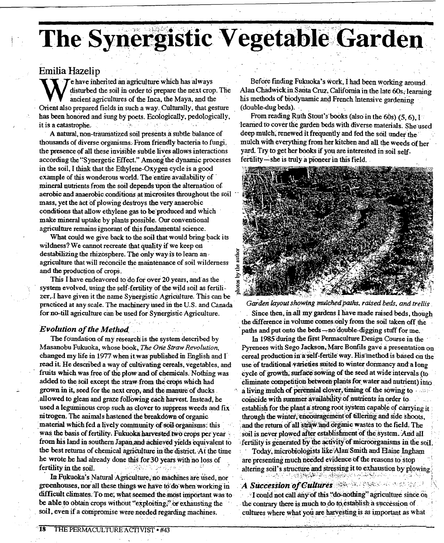# The Synergistic Vegetable Garden

## Emilia Hazelip

Te have inherited an agriculture which has always disturbed the soil in order to prepare the next crop. The ancient agricultures of the Inca, the Maya, and the Orient also prepared fields in such a way. Culturally, that gesture has been honored and sung by poets. Ecologically, pedologically, it is a catastrophe. 计可视

A natural, non-traumatized soil presents a subtle balance of thousands of diverse organisms. From friendly bacteria to fungi, the presence of all these invisible subtle lives allows interactions according the "Synergetic Effect." Among the dynamic processes in the soil, I think that the Ethylene-Oxygen cycle is a good example of this wonderous world. The entire availability of mineral nutrients from the soil depends upon the alternation of aerobic and anaerobic conditions at microsites throughout the soil mass, yet the act of plowing destroys the very anaerobic conditions that allow ethylene gas to be produced and which make mineral uptake by plants possible. Our conventional agriculture remains ignorant of this fundamental science.

What could we give back to the soil that would bring back its wildness? We cannot recreate that quality if we keep on destabilizing the rhizosphere. The only way is to learn an agriculture that will reconcile the maintenance of soil wilderness and the production of crops.

This I have endeavored to do for over 20 years, and as the system evolved, using the self-fertility of the wild soil as fertilizer, I have given it the name Synergistic Agriculture. This can be practiced at any scale. The machinery used in the U.S. and Canada for no-till agriculture can be used for Synergistic Agriculture.

## **Evolution of the Method**

The foundation of my research is the system described by Masanobu Fukuoka, whose book, The One Straw Revolution, changed my life in 1977 when it was published in English and I read it. He described a way of cultivating cereals, vegetables, and fruits which was free of the plow and of chemicals. Nothing was added to the soil except the straw from the crops which had grown in it, seed for the next crop, and the manure of ducks allowed to glean and graze following each harvest. Instead, he used a leguminous crop such as clover to suppress weeds and fix nitrogen. The animals hastened the breakdown of organic material which fed a lively community of soil organisms: this was the basis of fertility. Fukuoka harvested two crops per year from his land in southern Japan and achieved vields equivalent to the best returns of chemical agriculture in the district. At the time he wrote he had already done this for 30 years with no loss of fertility in the soil.

In Fukuoka's Natural Agriculture, no machines are used, nor greenhouses, nor all these things we have to do when working in difficult climates. To me, what seemed the most important was to be able to obtain crops without "exploiting," or exhausting the soil, even if a compromise were needed regarding machines.

Before finding Fukuoka's work, I had been working around. Alan Chadwick in Santa Cruz, California in the late 60s, learning his methods of biodynamic and French Intensive gardening (double-dug beds).

From reading Ruth Stout's books (also in the 60s) (5, 6), I learned to cover the garden beds with diverse materials. She used deep mulch, renewed it frequently and fed the soil under the mulch with everything from her kitchen and all the weeds of her yard. Try to get her books if you are interested in soil selffertility—she is truly a pioneer in this field.



### Garden layout showing mulched paths, raised beds, and trellis

Since then, in all my gardens I have made raised beds, though the difference in volume comes only from the soil taken off the paths and put onto the beds-no double-digging stuff for me.

In 1985 during the first Permaculture Design Course in the Pyrenees with Sego Jackson, Marc Bonfils gave a presentation on cereal production in a self-fertile way. His method is based on the use of traditional varieties suited to winter dormancy and a long cycle of growth, surface sowing of the seed at wide intervals (to eliminate competition between plants for water and nutrient) into a living mulch of perennial clover, timing of the sowing to coincide with summer availability of nutrients in order to establish for the plant a strong root system capable of carrying it through the winter, encouragement of tillering and side shoots, and the return of all straw and organic wastes to the field. The soil is never plowed after establishment of the system. And all fertility is generated by the activity of microorganisms in the soil

Today, microbiologists like Alan Smith and Elaine Ingham are presenting much needed evidence of the reasons to stop altering soil's structure and stressing it to exhaustion by plowing. e vetika din ku kinaka terr

## A Succession of Cultures and the second that the second second state of the Second State of the Second State of the Second State of the Second State of the Second State of the Second State of the Second State of the Second

I could not call any of this "do-nothing" agriculture since on the contrary there is much to do to establish a succession of cultures where what you are harvesting is as important as what